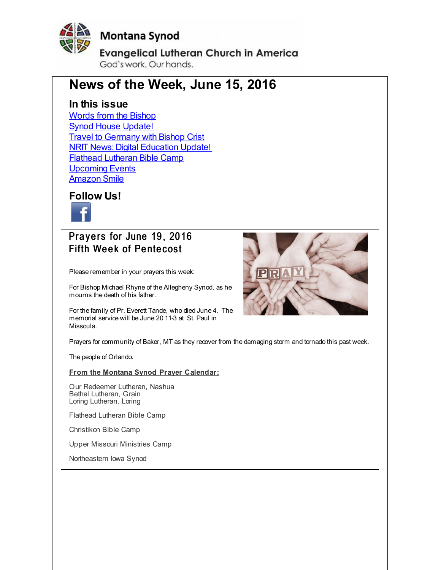<span id="page-0-0"></span>

#### **Montana Synod**

**Evangelical Lutheran Church in America** God's work, Our hands,

#### **News of the Week, June 15, 2016**

#### **In this issue**

Words from the [Bishop](#page-0-0) Synod House [Update!](#page-0-0) **Travel to [Germany](#page-0-0) with Bishop Crist NRIT News: Digital [Education](#page-0-0) Update!** Flathead [Lutheran](#page-0-0) Bible Camp **[Upcoming](#page-0-0) Events** [Amazon](#page-0-0) Smile

**Follow Us!**



Prayers for June 19, 2016 **Fifth Week of Pentecost** 

Please remember in your prayers this week:

For Bishop Michael Rhyne of the Allegheny Synod, as he mourns the death of his father.

For the family of Pr. Everett Tande, who died June 4. The memorial service will be June 20 11-3 at St. Paul in Missoula.



Prayers for community of Baker, MT as they recover from the damaging storm and tornado this past week.

The people of Orlando.

**From the Montana Synod Prayer Calendar:**

Our Redeemer Lutheran, Nashua Bethel Lutheran, Grain Loring Lutheran, Loring

Flathead Lutheran Bible Camp

Christikon Bible Camp

Upper Missouri Ministries Camp

Northeastern Iowa Synod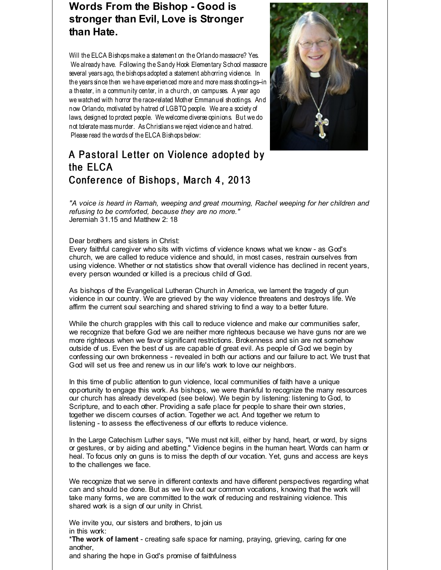#### **Words From the Bishop - Good is stronger than Evil, Love is Stronger than Hate.**

Will the ELCA Bishops make a statement on the Orlando massacre? Yes. We already have. Following the Sandy Hook Elementary School massacre several years ago, the bishops adopted a statement abhorring violence. In the years since then we have experienced more and more mass shootings-in a theater, in a community center, in a church, on campuses. A year ago we watched with horror the race-related Mother Emmanuel shootings. And now Orlando, motivated by hatred of LGBTQ people. We are a society of laws, designed to protect people. We welcome diverse opinions. But we do not tolerate mass murder. As Christians we reject violence and hatred. Please read the words of the ELCA Bishops below:



#### A Pastoral Letter on Violence adopted by the ELCA Conference of Bishops, March 4, 2013

*"A voice is heard in Ramah, weeping and great mourning, Rachel weeping for her children and refusing to be comforted, because they are no more."* Jeremiah 31.15 and Matthew 2: 18

#### Dear brothers and sisters in Christ:

Every faithful caregiver who sits with victims of violence knows what we know - as God's church, we are called to reduce violence and should, in most cases, restrain ourselves from using violence. Whether or not statistics show that overall violence has declined in recent years, every person wounded or killed is a precious child of God.

As bishops of the Evangelical Lutheran Church in America, we lament the tragedy of gun violence in our country. We are grieved by the way violence threatens and destroys life. We affirm the current soul searching and shared striving to find a way to a better future.

While the church grapples with this call to reduce violence and make our communities safer, we recognize that before God we are neither more righteous because we have guns nor are we more righteous when we favor significant restrictions. Brokenness and sin are not somehow outside of us. Even the best of us are capable of great evil. As people of God we begin by confessing our own brokenness - revealed in both our actions and our failure to act. We trust that God will set us free and renew us in our life's work to love our neighbors.

In this time of public attention to gun violence, local communities of faith have a unique opportunity to engage this work. As bishops, we were thankful to recognize the many resources our church has already developed (see below). We begin by listening: listening to God, to Scripture, and to each other. Providing a safe place for people to share their own stories, together we discern courses of action. Together we act. And together we return to listening - to assess the effectiveness of our efforts to reduce violence.

In the Large Catechism Luther says, "We must not kill, either by hand, heart, or word, by signs or gestures, or by aiding and abetting." Violence begins in the human heart. Words can harm or heal. To focus only on guns is to miss the depth of our vocation. Yet, guns and access are keys to the challenges we face.

We recognize that we serve in different contexts and have different perspectives regarding what can and should be done. But as we live out our common vocations, knowing that the work will take many forms, we are committed to the work of reducing and restraining violence. This shared work is a sign of our unity in Christ.

We invite you, our sisters and brothers, to join us in this work:

\***The work of lament** - creating safe space for naming, praying, grieving, caring for one another,

and sharing the hope in God's promise of faithfulness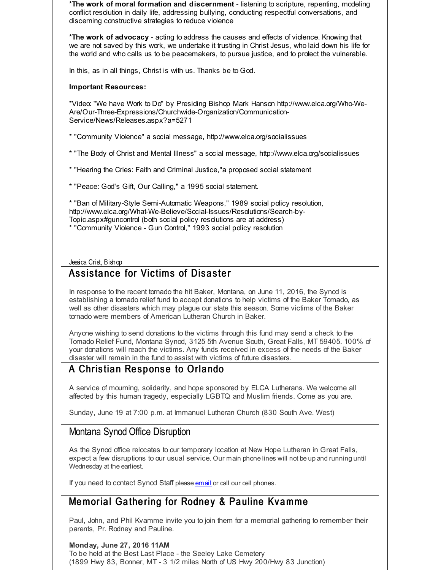\***The work of moral formation and discernment** - listening to scripture, repenting, modeling conflict resolution in daily life, addressing bullying, conducting respectful conversations, and discerning constructive strategies to reduce violence

\***The work of advocacy** - acting to address the causes and effects of violence. Knowing that we are not saved by this work, we undertake it trusting in Christ Jesus, who laid down his life for the world and who calls us to be peacemakers, to pursue justice, and to protect the vulnerable.

In this, as in all things, Christ is with us. Thanks be to God.

#### **Important Resources:**

\*Video: "We have Work to Do" by Presiding Bishop Mark Hanson http://www.elca.org/Who-We-Are/Our-Three-Expressions/Churchwide-Organization/Communication-Service/News/Releases.aspx?a=5271

\* "Community Violence" a social message, http://www.elca.org/socialissues

\* "The Body of Christ and Mental Illness" a social message, http://www.elca.org/socialissues

\* "Hearing the Cries: Faith and Criminal Justice,"a proposed social statement

\* "Peace: God's Gift, Our Calling," a 1995 social statement.

\* "Ban of Military-Style Semi-Automatic Weapons," 1989 social policy resolution, http://www.elca.org/What-We-Believe/Social-Issues/Resolutions/Search-by-Topic.aspx#guncontrol (both social policy resolutions are at address)

\* "Community Violence - Gun Control," 1993 social policy resolution

Jessica Crist, Bishop

#### Assistance for Victims of Disaster

In response to the recent tornado the hit Baker, Montana, on June 11, 2016, the Synod is establishing a tornado relief fund to accept donations to help victims of the Baker Tornado, as well as other disasters which may plague our state this season. Some victims of the Baker tornado were members of American Lutheran Church in Baker.

Anyone wishing to send donations to the victims through this fund may send a check to the Tornado Relief Fund, Montana Synod, 3125 5th Avenue South, Great Falls, MT 59405. 100% of your donations will reach the victims. Any funds received in excess of the needs of the Baker disaster will remain in the fund to assist with victims of future disasters.

#### A Christian Response to Orlando

A service of mourning, solidarity, and hope sponsored by ELCA Lutherans. We welcome all affected by this human tragedy, especially LGBTQ and Muslim friends. Come as you are.

Sunday, June 19 at 7:00 p.m. at Immanuel Lutheran Church (830 South Ave. West)

#### Montana Synod Office Disruption

As the Synod office relocates to our temporary location at New Hope Lutheran in Great Falls, expect a few disruptions to our usual service. Our main phone lines will not be up and running until Wednesday at the earliest.

If you need to contact Synod Staff please **[email](http://r20.rs6.net/tn.jsp?f=001FtOzIVOkpKTG-v6NBNC2atAb73ewG-UstUghpLTDSFignjHHViP6FlCA7yHlPm-b5nixaNgvIyEG0DZhyWxc21QB3f5eIOHCAajOfXliABsMnBt9n5p59XWu3PsbPM-0tji0Jo229b-hvkAsAxZ2c2Nkkq8wOqaRnO6E6SYNp8gTqDaSYeovS1EcWrSTd-rurhxIi17CrEM=&c=&ch=)** or call our cell phones.

#### Memorial Gathering for Rodney & Pauline Kvamme

Paul, John, and Phil Kvamme invite you to join them for a memorial gathering to remember their parents, Pr. Rodney and Pauline.

**Monday, June 27, 2016 11AM**

To be held at the Best Last Place - the Seeley Lake Cemetery (1899 Hwy 83, Bonner, MT - 3 1/2 miles North of US Hwy 200/Hwy 83 Junction)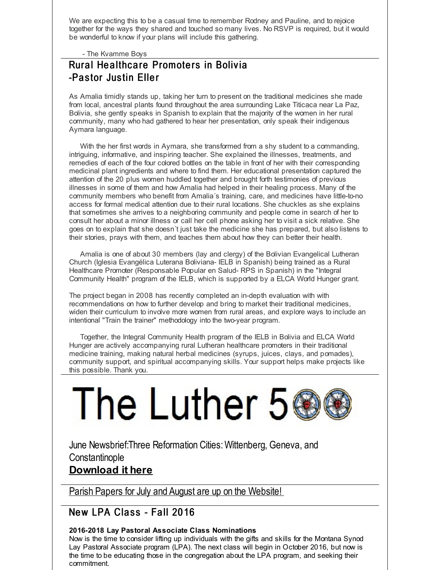We are expecting this to be a casual time to remember Rodney and Pauline, and to rejoice together for the ways they shared and touched so many lives. No RSVP is required, but it would be wonderful to know if your plans will include this gathering.

- The Kvamme Boys

#### Rural Healthcare Promoters in Bolivia -Pastor Justin Eller

As Amalia timidly stands up, taking her turn to present on the traditional medicines she made from local, ancestral plants found throughout the area surrounding Lake Titicaca near La Paz, Bolivia, she gently speaks in Spanish to explain that the majority of the women in her rural community, many who had gathered to hear her presentation, only speak their indigenous Aymara language.

With the her first words in Aymara, she transformed from a shy student to a commanding, intriguing, informative, and inspiring teacher. She explained the illnesses, treatments, and remedies of each of the four colored bottles on the table in front of her with their corresponding medicinal plant ingredients and where to find them. Her educational presentation captured the attention of the 20 plus women huddled together and brought forth testimonies of previous illnesses in some of them and how Amalia had helped in their healing process. Many of the community members who benefit from Amalia´s training, care, and medicines have little-to-no access for formal medical attention due to their rural locations. She chuckles as she explains that sometimes she arrives to a neighboring community and people come in search of her to consult her about a minor illness or call her cell phone asking her to visit a sick relative. She goes on to explain that she doesn´t just take the medicine she has prepared, but also listens to their stories, prays with them, and teaches them about how they can better their health.

Amalia is one of about 30 members (lay and clergy) of the Bolivian Evangelical Lutheran Church (Iglesia Evangélica Luterana Boliviana- IELB in Spanish) being trained as a Rural Healthcare Promoter (Responsable Popular en Salud- RPS in Spanish) in the "Integral Community Health" program of the IELB, which is supported by a ELCA World Hunger grant.

The project began in 2008 has recently completed an in-depth evaluation with with recommendations on how to further develop and bring to market their traditional medicines, widen their curriculum to involve more women from rural areas, and explore ways to include an intentional "Train the trainer" methodology into the two-year program.

Together, the Integral Community Health program of the IELB in Bolivia and ELCA World Hunger are actively accompanying rural Lutheran healthcare promoters in their traditional medicine training, making natural herbal medicines (syrups, juices, clays, and pomades), community support, and spiritual accompanying skills. Your support helps make projects like this possible. Thank you.

# The Luther 5

June Newsbrief:Three Reformation Cities:Wittenberg, Geneva, and **Constantinople** 

#### **[Download](http://r20.rs6.net/tn.jsp?f=001FtOzIVOkpKTG-v6NBNC2atAb73ewG-UstUghpLTDSFignjHHViP6FlCA7yHlPm-bgO-om5viqn12tU9w8V1M-GtMIYm_tzDQpgXlo5QRusQV3O23IGFerKEpTFbfsTemqDw7ZOIImxcSO9YyXaWcgZFjN7tWaErkuHCqua3llJde077cJe0_0psZnP36JuMeH3Emujt7InSe_TFY_Yw1LJDORt5U96cwXxI5YSwjkE0LH3Z9vxsv3HWYdQC8jhlQaTMFgGVbGh0=&c=&ch=) it here**

Parish Papers for July and August are up on the [Website!](http://r20.rs6.net/tn.jsp?f=001FtOzIVOkpKTG-v6NBNC2atAb73ewG-UstUghpLTDSFignjHHViP6Fics_QFa7S1zOAZdXcIr5i20WxefXWdJ0ZU4lyYtzfysYgeKiXufB-OYU4hUum3JguL_J8q0LoZqOY4SU0TNyhMIGZWOiwFbVhsUoCKsa2InkqPvK1krB6g8_ro1iwvVZxlbwANDxkU-3sagrDBc5oA1wKQWEOk9Ug==&c=&ch=)

#### New LPA Class - Fall 2016

#### **2016-2018 Lay Pastoral Associate Class Nominations**

Now is the time to consider lifting up individuals with the gifts and skills for the Montana Synod Lay Pastoral Associate program (LPA). The next class will begin in October 2016, but now is the time to be educating those in the congregation about the LPA program, and seeking their commitment.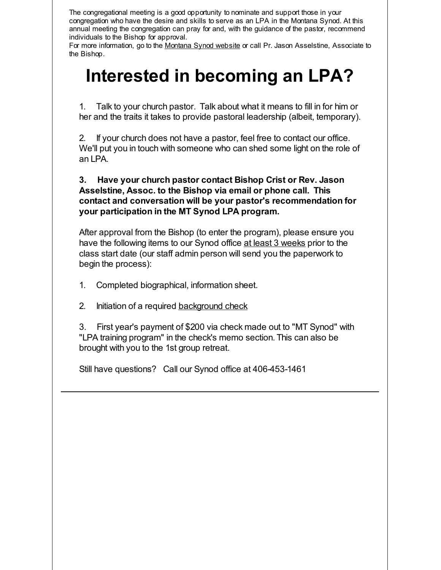The congregational meeting is a good opportunity to nominate and support those in your congregation who have the desire and skills to serve as an LPA in the Montana Synod. At this annual meeting the congregation can pray for and, with the guidance of the pastor, recommend individuals to the Bishop for approval.

For more information, go to the [Montana](http://r20.rs6.net/tn.jsp?f=001FtOzIVOkpKTG-v6NBNC2atAb73ewG-UstUghpLTDSFignjHHViP6FkGGIe_JET7TuKchbL02G9uTn4sRvyIy0wDLjVYk-mWyVy_S5v4Lcb4texL60RNmQ8B5bD3Lyt77G0CYRIMJk0AxuEo3uJqXgdVhN0Sb2ickacIzsxLmEWFvTb5QY62IUg==&c=&ch=) Synod website or call Pr. Jason Asselstine, Associate to the Bishop.

## **Interested in becoming an LPA?**

1. Talk to your church pastor. Talk about what it means to fill in for him or her and the traits it takes to provide pastoral leadership (albeit, temporary).

2. If your church does not have a pastor, feel free to contact our office. We'll put you in touch with someone who can shed some light on the role of an LPA.

#### **3. Have your church pastor contact Bishop Crist or Rev. Jason Asselstine, Assoc. to the Bishop via email or phone call. This contact and conversation will be your pastor's recommendation for your participation in the MT Synod LPA program.**

After approval from the Bishop (to enter the program), please ensure you have the following items to our Synod office at least 3 weeks prior to the class start date (our staff admin person will send you the paperwork to begin the process):

- 1. Completed biographical, information sheet.
- 2. Initiation of a required [background](http://r20.rs6.net/tn.jsp?f=001FtOzIVOkpKTG-v6NBNC2atAb73ewG-UstUghpLTDSFignjHHViP6Ft0DdZEbMqLYQwHRRw2HsdFVL_n02zD5Zwir7l3I3mWwCnCII5tT1oLGvOht6sNcnsJ-A8euIGd82yun_7ZBYWfBx3gn-DEWy4IMCXrQ5jw7_iTZ42tx1WtUjmDIsZALiBZ4bBQFpw76AP9ip28I0cukflqvT6-HbA==&c=&ch=) check

3. First year's payment of \$200 via check made out to "MT Synod" with "LPA training program" in the check's memo section. This can also be brought with you to the 1st group retreat.

Still have questions? Call our Synod office at 406-453-1461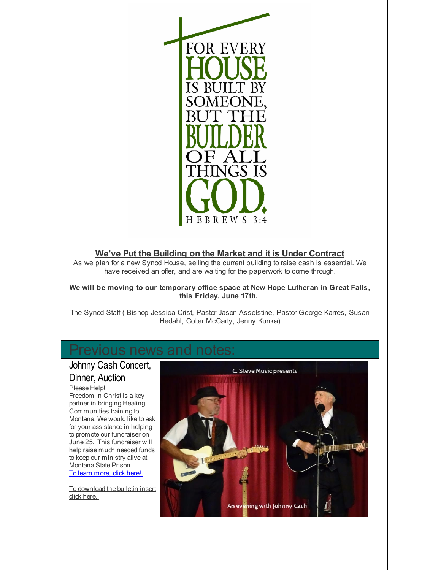

#### **We've Put the Building on the Market and it is Under Contract**

As we plan for a new Synod House, selling the current building to raise cash is essential. We have received an offer, and are waiting for the paperwork to come through.

#### **We will be moving to our temporary office space at New Hope Lutheran in Great Falls, this Friday, June 17th.**

The Synod Staff ( Bishop Jessica Crist, Pastor Jason Asselstine, Pastor George Karres, Susan Hedahl, Colter McCarty, Jenny Kunka)

#### Previous news and notes

#### Johnny Cash Concert, Dinner, Auction

Please Help! Freedom in Christ is a key partner in bringing Healing Communities training to Montana. We would like to ask for your assistance in helping to promote our fundraiser on June 25. This fundraiser will help raise much needed funds to keep our ministry alive at Montana State Prison. To learn [more,](http://r20.rs6.net/tn.jsp?f=001FtOzIVOkpKTG-v6NBNC2atAb73ewG-UstUghpLTDSFignjHHViP6FpcREd9JqBby5O2x3C1L9diOX4VSTDzhWpGnUoK8KPZvmdKFo9sg3wAfZc0ZvPYpkVQhHrF8rq88PYcY1VC-7Xk1KDEqUvor4PR9SyLt49eIVQGWeux52chT0kxgX9F_9EICIJILF15Yip9VWFQAmRdDvZ--UlgHdX2smZ22klJwsw2WcNWOSFaSEIQoFEN4YJ8DCMfHxzXobhc-AmfUhWJUTuwYpvNkKQ==&c=&ch=) dick here!

To [download](http://r20.rs6.net/tn.jsp?f=001FtOzIVOkpKTG-v6NBNC2atAb73ewG-UstUghpLTDSFignjHHViP6FpcREd9JqBby2iPdgNOllFtjItGEqlNo0MTc2n3a6y9f0eZ2aNxPS0_J_R_KD1N6dX3oNq3H49urYPT-SDf7_ZxePETs8mWMzJcAJ1FhsCZr_JU7aFbne93mKqLuu9CAf0mh7idDvEVWylK7OcA9bNOexeUJNdj7tC29VQTiVBZAjnlVIiwMspB9SEPCTzgHdd91nv5SFIDomL7L6PAJDw4=&c=&ch=) the bulletin insert dick here.

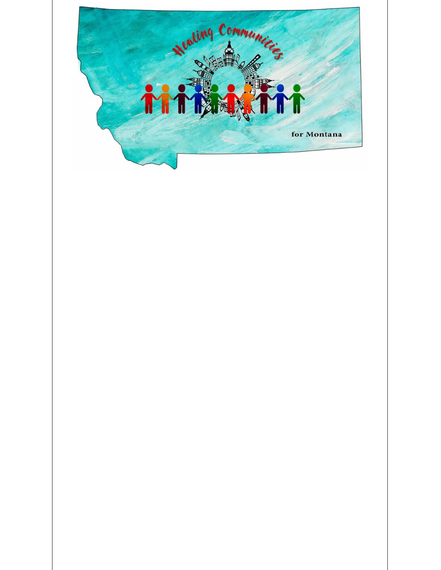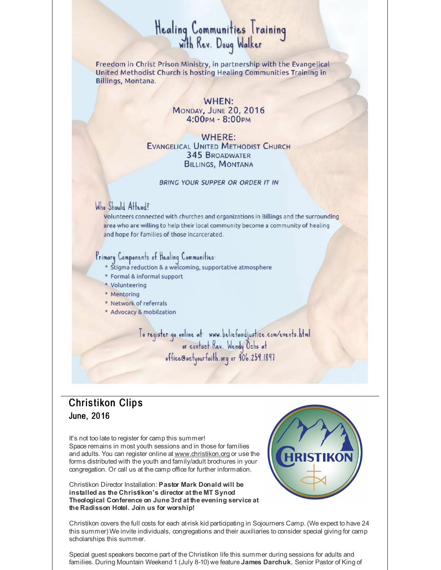## Healing Communities Training<br>with Rev. Doug Walker

Freedom in Christ Prison Ministry, in partnership with the Evangelical United Methodist Church is hosting Healing Communities Training in Billings, Montana.

> WHEN: MONDAY, JUNE 20, 2016<br>4:00pm - 8:00pm

WHERE: **EVANGELICAL UNITED METHODIST CHURCH 345 BROADWATER BILLINGS, MONTANA** 

BRING YOUR SUPPER OR ORDER IT IN

#### Who Should Attend?

Volunteers connected with churches and organizations in Billings and the surrounding area who are willing to help their local community become a community of healing and hope for families of those incarcerated.

#### Primary Components of Healing Communities:

- Stigma reduction & a welcoming, supportative atmosphere
- \* Formal & informal support
- \* Volunteering
- \* Mentoring
- \* Network of referrals
- \* Advocacy & mobilzation

To register go online at www.beliefandjustice.com/events.html<br>or contact Rev. Wendy Ochs at<br>office@actyourfaith.org or 406.259.1897

#### **Christikon Clips** June, 2016

It's not too late to register for camp this summer! Space remains in most youth sessions and in those for families and adults. You can register online at [www.christikon.org](http://r20.rs6.net/tn.jsp?f=001FtOzIVOkpKTG-v6NBNC2atAb73ewG-UstUghpLTDSFignjHHViP6Fnn9m0b4dHfHpJk1k0JpMiZ9pmTHYcO9a3LZzNqM2f2WCyGcxNgytfGdDdIxYsoKIvlNmoGs5KtPzncvZZI8dzUxdr0IZxIG0UAZ8cpIqeT5WLThXDXhtr0=&c=&ch=) or use the forms distributed with the youth and family/adult brochures in your congregation. Or call us at the camp office for further information.

Christikon Director Installation: **Pastor Mark Donald will be installed as the Christikon's director at the MT Synod Theological Conference on June 3rd at the evening service at the Radisson Hotel. Join us for worship!**



Christikon covers the full costs for each at-risk kid participating in Sojourners Camp. (We expect to have 24 this summer) We invite individuals, congregations and their auxiliaries to consider special giving for camp scholarships this summer.

Special guest speakers become part of the Christikon life this summer during sessions for adults and families. During Mountain Weekend 1 (July 8-10) we feature **James Darchuk**, Senior Pastor of King of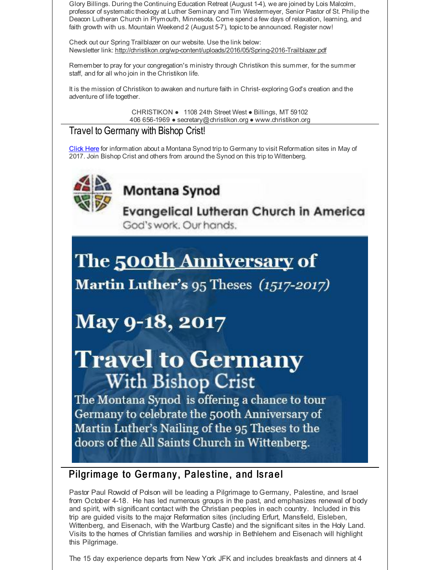Glory Billings. During the Continuing Education Retreat (August 1-4), we are joined by Lois Malcolm, professor of systematictheology at Luther Seminary and Tim Westermeyer, Senior Pastor of St. Philip the Deacon Lutheran Church in Plymouth, Minnesota. Come spend a few days of relaxation, learning, and faith growth with us. Mountain Weekend 2 (August 5-7), topicto be announced. Register now!

Check out our Spring Trailblazer on our website. Use the link below: Newsletter link: [http://christikon.org/wp-content/uploads/2016/05/Spring-2016-Trailblazer.pdf](http://r20.rs6.net/tn.jsp?f=001FtOzIVOkpKTG-v6NBNC2atAb73ewG-UstUghpLTDSFignjHHViP6FlfrL6ZI0nerozRM-M-04REvBvGR9wyU0bx-g0ZWsrFKYaYSRwHOyn4xFzKdG39U_OMcwOmAYoJAjBquyL1LkvhmjbiE7PanGhD85I3S6yLk0m7_8LYLoC8OrF-aYXENUWMqlLa-3y11Lb4zY7mHzkqQ-jmLeApF5GFsDUE94e2FpPT3raa--5yJsA7htnX8IzMN8a076gBj&c=&ch=)

Remember to pray for your congregation's ministry through Christikon this summer, for the summer staff, and for all who join in the Christikon life.

It is the mission of Christikon to awaken and nurture faith in Christ- exploring God's creation and the adventure of life together.

> CHRISTIKON ● 1108 24th Street West ● Billings, MT 59102 406 656-1969 ● secretary@christikon.org ● www.christikon.org

#### Travel to Germany with Bishop Crist!

[Click](http://r20.rs6.net/tn.jsp?f=001FtOzIVOkpKTG-v6NBNC2atAb73ewG-UstUghpLTDSFignjHHViP6Filusd8fRJs6y2wvv0OGfSyeWMWn12SPtP0R30hQGC_uKr4SGPwefJtIBE5NSqsvwjsLkG4KkHCua6QpcFQZMOaXIy18tbHfF5XaGeUahLvOoJJC0QHq45g_jLch1_eU-SVK1I8BS1plb_IUy7Ruf8oNYz5YNL0JVU60s8YlABUXU1-sXG7x2kmzvadfb1lN_ffRCp620HoOUPqAWIXtX5U2GlAiLPtBmTQI4WDjowGx&c=&ch=) Here for information about a Montana Synod trip to Germany to visit Reformation sites in May of 2017. Join Bishop Crist and others from around the Synod on this trip to Wittenberg.



#### Montana Synod

**Evangelical Lutheran Church in America** God's work. Our hands.

## The 500th Anniversary of

Martin Luther's 95 Theses (1517-2017)

### **May 9-18, 2017**

## **Travel to Germany With Bishop Crist**

The Montana Synod is offering a chance to tour Germany to celebrate the 500th Anniversary of Martin Luther's Nailing of the 95 Theses to the doors of the All Saints Church in Wittenberg.

#### Pilgrimage to Germany, Palestine, and Israel

Pastor Paul Rowold of Polson will be leading a Pilgrimage to Germany, Palestine, and Israel from October 4-18. He has led numerous groups in the past, and emphasizes renewal of body and spirit, with significant contact with the Christian peoples in each country. Included in this trip are guided visits to the major Reformation sites (including Erfurt, Mansfield, Eisleben, Wittenberg, and Eisenach, with the Wartburg Castle) and the significant sites in the Holy Land. Visits to the homes of Christian families and worship in Bethlehem and Eisenach will highlight this Pilgrimage.

The 15 day experience departs from New York JFK and includes breakfasts and dinners at 4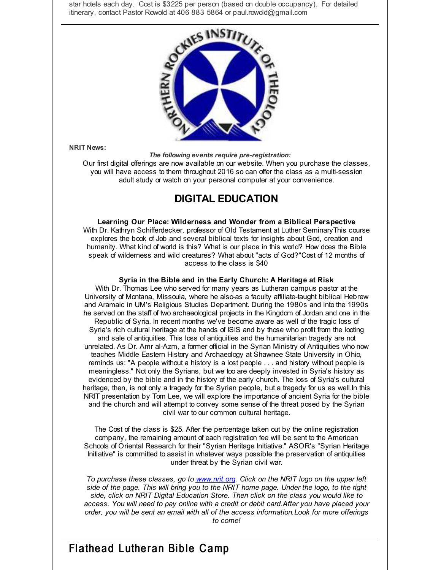star hotels each day. Cost is \$3225 per person (based on double occupancy). For detailed itinerary, contact Pastor Rowold at 406 883 5864 or paul.rowold@gmail.com



**NRIT News:**

*The following events require pre-registration:*

Our first digital offerings are now available on our website. When you purchase the classes, you will have access to them throughout 2016 so can offer the class as a multi-session adult study or watch on your personal computer at your convenience.

#### **DIGITAL EDUCATION**

**Learning Our Place: Wilderness and Wonder from a Biblical Perspective** With Dr. Kathryn Schifferdecker, professor of Old Testament at Luther SeminaryThis course explores the book of Job and several biblical texts for insights about God, creation and humanity. What kind of world is this? What is our place in this world? How does the Bible speak of wilderness and wild creatures? What about "acts of God?"Cost of 12 months of access to the class is \$40

#### **Syria in the Bible and in the Early Church: A Heritage at Risk**

With Dr. Thomas Lee who served for many years as Lutheran campus pastor at the University of Montana, Missoula, where he also-as a faculty affiliate-taught biblical Hebrew and Aramaic in UM's Religious Studies Department. During the 1980s and into the 1990s he served on the staff of two archaeological projects in the Kingdom of Jordan and one in the Republic of Syria. In recent months we've become aware as well of the tragic loss of Syria's rich cultural heritage at the hands of ISIS and by those who profit from the looting and sale of antiquities. This loss of antiquities and the humanitarian tragedy are not unrelated. As Dr. Amr al-Azm, a former official in the Syrian Ministry of Antiquities who now teaches Middle Eastern History and Archaeology at Shawnee State University in Ohio, reminds us: "A people without a history is a lost people . . . and history without people is meaningless." Not only the Syrians, but we too are deeply invested in Syria's history as evidenced by the bible and in the history of the early church. The loss of Syria's cultural heritage, then, is not only a tragedy for the Syrian people, but a tragedy for us as well.In this NRIT presentation by Tom Lee, we will explore the importance of ancient Syria for the bible and the church and will attempt to convey some sense of the threat posed by the Syrian civil war to our common cultural heritage.

The Cost of the class is \$25. After the percentage taken out by the online registration company, the remaining amount of each registration fee will be sent to the American Schools of Oriental Research for their "Syrian Heritage Initiative." ASOR's "Syrian Heritage Initiative" is committed to assist in whatever ways possible the preservation of antiquities under threat by the Syrian civil war.

*To purchase these classes, go to [www.nrit.org](http://r20.rs6.net/tn.jsp?f=001FtOzIVOkpKTG-v6NBNC2atAb73ewG-UstUghpLTDSFignjHHViP6FswoX39T96aJ3NomwQ0OCOuE_UlBDCHMdSrcVgXdXOJBorWXZcjGFhdzrxQQMNDevFJpZlsYLU_0bPPHV0f9St0BYzFlfjvqfDA04hXWClZ8&c=&ch=). Click on the NRIT logo on the upper left side of the page. This will bring you to the NRIT home page. Under the logo, to the right side, click on NRIT Digital Education Store. Then click on the class you would like to access. You will need to pay online with a credit or debit card.After you have placed your order, you will be sent an email with all of the access information.Look for more offerings to come!*

#### Flathead Lutheran Bible Camp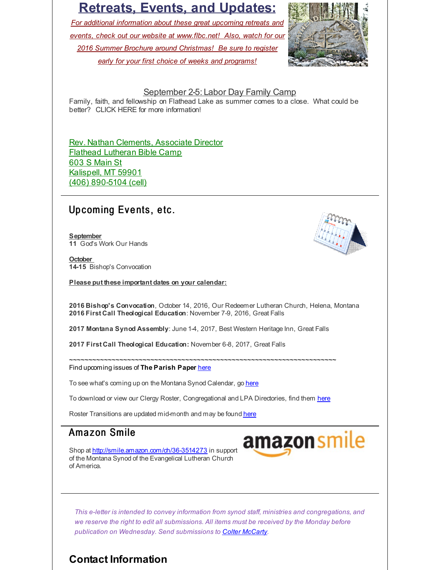#### **Retreats, Events, and Updates:**

*For additional information about these great upcoming retreats and events, check out our website at [www.flbc.net](http://r20.rs6.net/tn.jsp?f=001FtOzIVOkpKTG-v6NBNC2atAb73ewG-UstUghpLTDSFignjHHViP6FpPJbW7oKNj1_iviM8y6cnqNIYBZFKc5M3CjMiaXmMRcTomNawV0H2EosGHn4GDHQaKtRyMqKPGmRsmTuvRU8YJRQbbTmygpVno9ocMNuPbGapYGXE983iBL9lY_AqCWz6dxzpH_Paeey6DseX7J42hPtFXfgqnSzlnlucstJXV_PcbukMwxzQ20nRuyxgQcpIQz8Wp-b_oR&c=&ch=)! Also, watch for our 2016 Summer Brochure around Christmas! Be sure to register early for your first choice of weeks and programs!*



#### September 2-5: Labor Day Family Camp

Family, faith, and fellowship on Flathead Lake as summer comes to a close. What could be better? CLICK HERE for more information!

Rev. Nathan Clements, Associate Director Flathead Lutheran Bible Camp 603 S Main St Kalispell, MT 59901 (406) 890-5104 (cell)

#### Up coming Events, etc.

**September 11** God's Work Our Hands

**October 14-15** Bishop's Convocation

**Please put these important dates on your calendar:**

**2016 Bishop's Convocation**, October 14, 2016, Our Redeemer Lutheran Church, Helena, Montana **2016 First Call Theological Education**: November 7-9, 2016, Great Falls

**2017 Montana Synod Assembly**: June 1-4, 2017, Best Western Heritage Inn, Great Falls

**2017 First Call Theological Education:** November 6-8, 2017, Great Falls

~~~~~~~~~~~~~~~~~~~~~~~~~~~~~~~~~~~~~~~~~~~~~~~~~~~~~~~~~~~~~~~~~~~~~ Find upcoming issues of **The Parish Paper** [here](http://r20.rs6.net/tn.jsp?f=001FtOzIVOkpKTG-v6NBNC2atAb73ewG-UstUghpLTDSFignjHHViP6Fp_Kh9uZgHkWJMK-OyLt8oNng_rJwaDihzHPwVrBZ5C0qIwp-QamDul3GtYmvvPpqjrX5Yft1GIjDNqUIWRN-YXCis6D55twztbQ7P7n4wx7_unVe5CoEMaLnIeGKMuatajmADm_Hw8M4-tOLKFLGx5GhQxyymzEiw==&c=&ch=)

To see what's coming up on the Montana Synod Calendar, go [here](http://r20.rs6.net/tn.jsp?f=001FtOzIVOkpKTG-v6NBNC2atAb73ewG-UstUghpLTDSFignjHHViP6Fm8flUAkqhLQcKQtM8HFPGp3IYSzuxWmem6gq4ZTOCqQ62xDDa-C9JPQwojgyKlRl3njB94zqqnQDPcSKF5xGknDO70pacgcFTFqmHsV1UtljhBioK8xvJutNkNiKrm4XARLceY8rC7YGg634P4fAjI=&c=&ch=)

To download or view our Clergy Roster, Congregational and LPA Directories, find them [here](http://r20.rs6.net/tn.jsp?f=001FtOzIVOkpKTG-v6NBNC2atAb73ewG-UstUghpLTDSFignjHHViP6Fuaf2MAjUhGkqKD0LPyjZ86uDiuL1VMjeUIZYLM_xckWOZfewlFEs2e_U99Qqk5mWsJ4Jod1AuzSLf4X8SZIN2V7KxN-6mLGc41EP4W9HeEnoOrGIdmZnU6VKpPxjqm-Ix2KWGccTJVbfxd-iaqBhWM=&c=&ch=)

Roster Transitions are updated mid-month and may be found [here](http://r20.rs6.net/tn.jsp?f=001FtOzIVOkpKTG-v6NBNC2atAb73ewG-UstUghpLTDSFignjHHViP6Fuaf2MAjUhGkae46SLvOWCwCUbIQb1jKWDYUzdF5rBRLmTCeOFs4Yr6SkJOjZQs3KJ8RkLvPTY6He-XpKtwdjtTAupb-mmD916uqKXV5CUrukhDtW4T-bBZS7SmmDXJDjKp3RFj8N6z8IISiVdLHvxw=&c=&ch=)

#### Amazon Smile

Shop at [http://smile.amazon.com/ch/36-3514273](http://r20.rs6.net/tn.jsp?f=001FtOzIVOkpKTG-v6NBNC2atAb73ewG-UstUghpLTDSFignjHHViP6FqLsmnYW7EGPIBrZju7lrLqx1QMwLAP9JKWh41lovEWDGE0NJwI6eWP-3FCd4UaNrz3alm48yrmf5VttA1tpBu75zSYTm1b1MlBS3QsAdo0_wp6CZKu7cuqhX-q28DeRywyxvIlVcgl4xr7Z_3c6nb47OCpjiTfYZiGJoo4c69RUsP0N1g5kGzly6UXgTYi3wOfO9WfJSWliwiZoTtHp0r2hUlFy3J8B4eY8NssmNBpQ-Vp2ZYMIQju7LSLcKu_AegQozRbbDkSOiIZOeaVy1cveWBO6-XOZSNV_zZ76dNwQOAhl9dlo1Bd_eDgGSjxUvCGEVnj41T6Xk1x6SH55MmJH50WxkgT5fkHWEPZkDRJ-nyjyIJaw2gA=&c=&ch=) in support of the Montana Synod of the Evangelical Lutheran Church of America.



*This e-letter is intended to convey information from synod staff, ministries and congregations, and we reserve the right to edit all submissions. All items must be received by the Monday before publication on Wednesday. Send submissions to Colter [McCarty](mailto:cmccarty@montanasynod.org).*

#### **Contact Information**